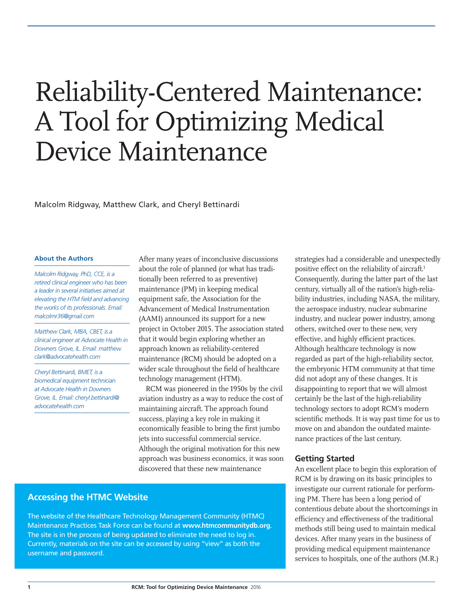# Reliability-Centered Maintenance: A Tool for Optimizing Medical Device Maintenance

Malcolm Ridgway, Matthew Clark, and Cheryl Bettinardi

#### **About the Authors**

*Malcolm Ridgway, PhD, CCE, is a retired clinical engineer who has been a leader in several initiatives aimed at elevating the HTM field and advancing the works of its professionals. Email: malcolmr36@gmail.com*

*Matthew Clark, MBA, CBET, is a clinical engineer at Advocate Health in Downers Grove, IL. Email: matthew. clark@advocatehealth.com*

*Cheryl Bettinardi, BMET, is a biomedical equipment technician at Advocate Health in Downers Grove, IL. Email: cheryl.bettinardi@ advocatehealth.com*

After many years of inconclusive discussions about the role of planned (or what has traditionally been referred to as preventive) maintenance (PM) in keeping medical equipment safe, the Association for the Advancement of Medical Instrumentation (AAMI) announced its support for a new project in October 2015. The association stated that it would begin exploring whether an approach known as reliability-centered maintenance (RCM) should be adopted on a wider scale throughout the field of healthcare technology management (HTM).

RCM was pioneered in the 1950s by the civil aviation industry as a way to reduce the cost of maintaining aircraft. The approach found success, playing a key role in making it economically feasible to bring the first jumbo jets into successful commercial service. Although the original motivation for this new approach was business economics, it was soon discovered that these new maintenance

**Accessing the HTMC Website**

The website of the Healthcare Technology Management Community (HTMC) Maintenance Practices Task Force can be found at **<www.htmcommunitydb.org>**. The site is in the process of being updated to eliminate the need to log in. Currently, materials on the site can be accessed by using "view" as both the username and password.

strategies had a considerable and unexpectedly positive effect on the reliability of aircraft.1 Consequently, during the latter part of the last century, virtually all of the nation's high-reliability industries, including NASA, the military, the aerospace industry, nuclear submarine industry, and nuclear power industry, among others, switched over to these new, very effective, and highly efficient practices. Although healthcare technology is now regarded as part of the high-reliability sector, the embryonic HTM community at that time did not adopt any of these changes. It is disappointing to report that we will almost certainly be the last of the high-reliability technology sectors to adopt RCM's modern scientific methods. It is way past time for us to move on and abandon the outdated maintenance practices of the last century.

#### **Getting Started**

An excellent place to begin this exploration of RCM is by drawing on its basic principles to investigate our current rationale for performing PM. There has been a long period of contentious debate about the shortcomings in efficiency and effectiveness of the traditional methods still being used to maintain medical devices. After many years in the business of providing medical equipment maintenance services to hospitals, one of the authors (M.R.)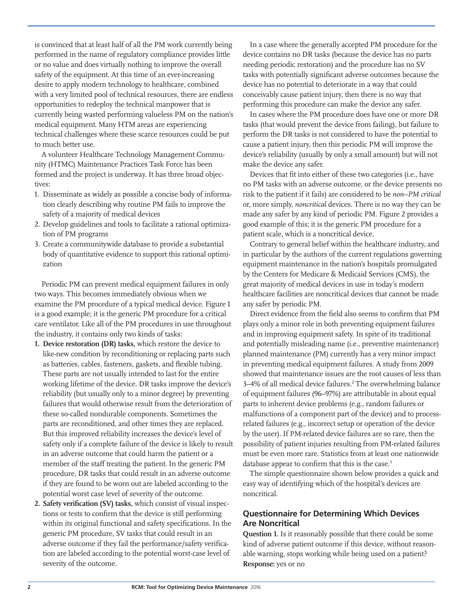is convinced that at least half of all the PM work currently being performed in the name of regulatory compliance provides little or no value and does virtually nothing to improve the overall safety of the equipment. At this time of an ever-increasing desire to apply modern technology to healthcare, combined with a very limited pool of technical resources, there are endless opportunities to redeploy the technical manpower that is currently being wasted performing valueless PM on the nation's medical equipment. Many HTM areas are experiencing technical challenges where these scarce resources could be put to much better use.

A volunteer Healthcare Technology Management Community (HTMC) Maintenance Practices Task Force has been formed and the project is underway. It has three broad objectives:

- 1. Disseminate as widely as possible a concise body of information clearly describing why routine PM fails to improve the safety of a majority of medical devices
- 2. Develop guidelines and tools to facilitate a rational optimization of PM programs
- 3. Create a communitywide database to provide a substantial body of quantitative evidence to support this rational optimization

Periodic PM can prevent medical equipment failures in only two ways. This becomes immediately obvious when we examine the PM procedure of a typical medical device. Figure 1 is a good example; it is the generic PM procedure for a critical care ventilator. Like all of the PM procedures in use throughout the industry, it contains only two kinds of tasks:

- **1. Device restoration (DR) tasks,** which restore the device to like-new condition by reconditioning or replacing parts such as batteries, cables, fasteners, gaskets, and flexible tubing. These parts are not usually intended to last for the entire working lifetime of the device. DR tasks improve the device's reliability (but usually only to a minor degree) by preventing failures that would otherwise result from the deterioration of these so-called nondurable components. Sometimes the parts are reconditioned, and other times they are replaced. But this improved reliability increases the device's level of safety only if a complete failure of the device is likely to result in an adverse outcome that could harm the patient or a member of the staff treating the patient. In the generic PM procedure, DR tasks that could result in an adverse outcome if they are found to be worn out are labeled according to the potential worst case level of severity of the outcome.
- **2. Safety verification (SV) tasks,** which consist of visual inspections or tests to confirm that the device is still performing within its original functional and safety specifications. In the generic PM procedure, SV tasks that could result in an adverse outcome if they fail the performance/safety verification are labeled according to the potential worst-case level of severity of the outcome.

In a case where the generally accepted PM procedure for the device contains no DR tasks (because the device has no parts needing periodic restoration) and the procedure has no SV tasks with potentially significant adverse outcomes because the device has no potential to deteriorate in a way that could conceivably cause patient injury, then there is no way that performing this procedure can make the device any safer.

In cases where the PM procedure does have one or more DR tasks (that would prevent the device from failing), but failure to perform the DR tasks is not considered to have the potential to cause a patient injury, then this periodic PM will improve the device's reliability (usually by only a small amount) but will not make the device any safer.

Devices that fit into either of these two categories (i.e., have no PM tasks with an adverse outcome, or the device presents no risk to the patient if it fails) are considered to be *non–PM critical* or, more simply, *noncritical* devices. There is no way they can be made any safer by any kind of periodic PM. Figure 2 provides a good example of this; it is the generic PM procedure for a patient scale, which is a noncritical device.

Contrary to general belief within the healthcare industry, and in particular by the authors of the current regulations governing equipment maintenance in the nation's hospitals promulgated by the Centers for Medicare & Medicaid Services (CMS), the great majority of medical devices in use in today's modern healthcare facilities are noncritical devices that cannot be made any safer by periodic PM.

Direct evidence from the field also seems to confirm that PM plays only a minor role in both preventing equipment failures and in improving equipment safety. In spite of its traditional and potentially misleading name (i.e., preventive maintenance) planned maintenance (PM) currently has a very minor impact in preventing medical equipment failures. A study from 2009 showed that maintenance issues are the root causes of less than 3–4% of all medical device failures.<sup>2</sup> The overwhelming balance of equipment failures (96–97%) are attributable in about equal parts to inherent device problems (e.g., random failures or malfunctions of a component part of the device) and to processrelated failures (e.g., incorrect setup or operation of the device by the user). If PM-related device failures are so rare, then the possibility of patient injuries resulting from PM-related failures must be even more rare. Statistics from at least one nationwide database appear to confirm that this is the case.<sup>3</sup>

The simple questionnaire shown below provides a quick and easy way of identifying which of the hospital's devices are noncritical.

## **Questionnaire for Determining Which Devices Are Noncritical**

**Question 1.** Is it reasonably possible that there could be some kind of adverse patient outcome if this device, without reasonable warning, stops working while being used on a patient? **Response:** yes or no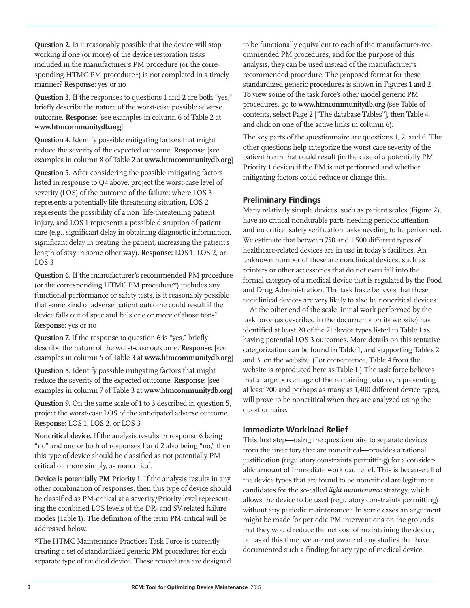**Question 2.** Is it reasonably possible that the device will stop working if one (or more) of the device restoration tasks included in the manufacturer's PM procedure (or the corresponding HTMC PM procedure\*) is not completed in a timely manner? **Response:** yes or no

**Question 3.** If the responses to questions 1 and 2 are both "yes," briefly describe the nature of the worst-case possible adverse outcome. **Response:** [see examples in column 6 of Table 2 at **<www.htmcommunitydb.org>**]

**Question 4.** Identify possible mitigating factors that might reduce the severity of the expected outcome. **Response:** [see examples in column 8 of Table 2 at **<www.htmcommunitydb.org>**]

**Question 5.** After considering the possible mitigating factors listed in response to Q4 above, project the worst-case level of severity (LOS) of the outcome of the failure; where LOS 3 represents a potentially life-threatening situation, LOS 2 represents the possibility of a non–life-threatening patient injury, and LOS 1 represents a possible disruption of patient care (e.g., significant delay in obtaining diagnostic information, significant delay in treating the patient, increasing the patient's length of stay in some other way). **Response:** LOS 1, LOS 2, or LOS 3

**Question 6.** If the manufacturer's recommended PM procedure (or the corresponding HTMC PM procedure\*) includes any functional performance or safety tests, is it reasonably possible that some kind of adverse patient outcome could result if the device falls out of spec and fails one or more of those tests? **Response:** yes or no

**Question 7.** If the response to question 6 is "yes," briefly describe the nature of the worst-case outcome. **Response:** [see examples in column 5 of Table 3 at **<www.htmcommunitydb.org>**]

**Question 8.** Identify possible mitigating factors that might reduce the severity of the expected outcome. **Response:** [see examples in column 7 of Table 3 at **<www.htmcommunitydb.org>**]

**Question 9.** On the same scale of 1 to 3 described in question 5, project the worst-case LOS of the anticipated adverse outcome. **Response:** LOS 1, LOS 2, or LOS 3

**Noncritical device.** If the analysis results in response 6 being "no" and one or both of responses 1 and 2 also being "no," then this type of device should be classified as not potentially PM critical or, more simply, as noncritical.

**Device is potentially PM Priority 1.** If the analysis results in any other combination of responses, then this type of device should be classified as PM-critical at a severity/Priority level representing the combined LOS levels of the DR- and SV-related failure modes (Table 1). The definition of the term PM-critical will be addressed below.

\*The HTMC Maintenance Practices Task Force is currently creating a set of standardized generic PM procedures for each separate type of medical device. These procedures are designed to be functionally equivalent to each of the manufacturer-recommended PM procedures, and for the purpose of this analysis, they can be used instead of the manufacturer's recommended procedure. The proposed format for these standardized generic procedures is shown in Figures 1 and 2. To view some of the task force's other model generic PM procedures, go to **<www.htmcommunitydb.org>** (see Table of contents, select Page 2 ["The database Tables"], then Table 4, and click on one of the active links in column 6).

The key parts of the questionnaire are questions 1, 2, and 6. The other questions help categorize the worst-case severity of the patient harm that could result (in the case of a potentially PM Priority 1 device) if the PM is not performed and whether mitigating factors could reduce or change this.

## **Preliminary Findings**

Many relatively simple devices, such as patient scales (Figure 2), have no critical nondurable parts needing periodic attention and no critical safety verification tasks needing to be performed. We estimate that between 750 and 1,500 different types of healthcare-related devices are in use in today's facilities. An unknown number of these are nonclinical devices, such as printers or other accessories that do not even fall into the formal category of a medical device that is regulated by the Food and Drug Administration. The task force believes that these nonclinical devices are very likely to also be noncritical devices.

At the other end of the scale, initial work performed by the task force (as described in the documents on its website) has identified at least 20 of the 71 device types listed in Table 1 as having potential LOS 3 outcomes. More details on this tentative categorization can be found in Table 1, and supporting Tables 2 and 3, on the website. (For convenience, Table 4 from the website is reproduced here as Table 1.) The task force believes that a large percentage of the remaining balance, representing at least 700 and perhaps as many as 1,400 different device types, will prove to be noncritical when they are analyzed using the questionnaire.

## **Immediate Workload Relief**

This first step—using the questionnaire to separate devices from the inventory that are noncritical—provides a rational justification (regulatory constraints permitting) for a considerable amount of immediate workload relief. This is because all of the device types that are found to be noncritical are legitimate candidates for the so-called *light maintenance* strategy, which allows the device to be used (regulatory constraints permitting) without any periodic maintenance.<sup>1</sup> In some cases an argument might be made for periodic PM interventions on the grounds that they would reduce the net cost of maintaining the device, but as of this time, we are not aware of any studies that have documented such a finding for any type of medical device.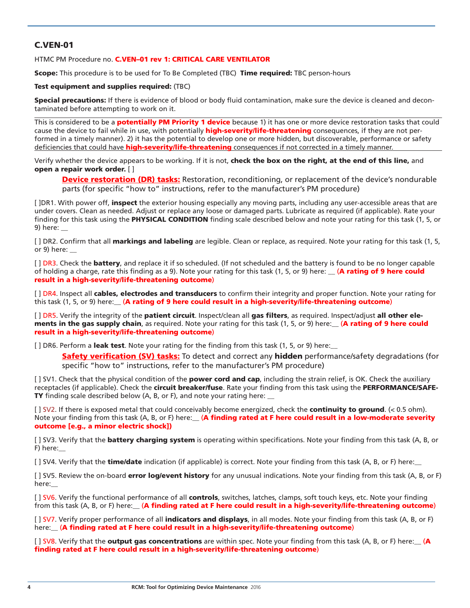## C.VEN-01

#### HTMC PM Procedure no. C.VEN-01 rev 1: CRITICAL CARE VENTILATOR

Scope: This procedure is to be used for To Be Completed (TBC) Time required: TBC person-hours

#### Test equipment and supplies required: (TBC)

Special precautions: If there is evidence of blood or body fluid contamination, make sure the device is cleaned and decontaminated before attempting to work on it.

This is considered to be a **potentially PM Priority 1 device** because 1) it has one or more device restoration tasks that could cause the device to fail while in use, with potentially **high-severity/life-threatening** consequences, if they are not performed in a timely manner). 2) it has the potential to develop one or more hidden, but discoverable, performance or safety deficiencies that could have **high-severity/life-threatening** consequences if not corrected in a timely manner.

Verify whether the device appears to be working. If it is not, check the box on the right, at the end of this line, and open a repair work order. [ ]

**Device restoration (DR) tasks:** Restoration, reconditioning, or replacement of the device's nondurable parts (for specific "how to" instructions, refer to the manufacturer's PM procedure)

[ ]DR1. With power off, **inspect** the exterior housing especially any moving parts, including any user-accessible areas that are under covers. Clean as needed. Adjust or replace any loose or damaged parts. Lubricate as required (if applicable). Rate your finding for this task using the PHYSICAL CONDITION finding scale described below and note your rating for this task (1, 5, or 9) here: \_\_

[] DR2. Confirm that all **markings and labeling** are legible. Clean or replace, as required. Note your rating for this task (1, 5, or 9) here: \_\_

[ ] DR3. Check the **battery**, and replace it if so scheduled. (If not scheduled and the battery is found to be no longer capable of holding a charge, rate this finding as a 9). Note your rating for this task (1, 5, or 9) here: **A rating of 9 here could** result in a high-severity/life-threatening outcome)

[] DR4. Inspect all cables, electrodes and transducers to confirm their integrity and proper function. Note your rating for this task (1, 5, or 9) here: (A rating of 9 here could result in a high-severity/life-threatening outcome)

[] DR5. Verify the integrity of the patient circuit. Inspect/clean all gas filters, as required. Inspect/adjust all other elements in the gas supply chain, as required. Note your rating for this task (1, 5, or 9) here:  $(A$  rating of 9 here could result in a high-severity/life-threatening outcome)

[ ] DR6. Perform a leak test. Note your rating for the finding from this task (1, 5, or 9) here:

Safety verification (SV) tasks: To detect and correct any hidden performance/safety degradations (for specific "how to" instructions, refer to the manufacturer's PM procedure)

[ ] SV1. Check that the physical condition of the **power cord and cap**, including the strain relief, is OK. Check the auxiliary receptacles (if applicable). Check the circuit breaker/fuse. Rate your finding from this task using the PERFORMANCE/SAFE-TY finding scale described below (A, B, or F), and note your rating here: \_

[ ] SV2. If there is exposed metal that could conceivably become energized, check the **continuity to ground**. (< 0.5 ohm). Note your finding from this task (A, B, or F) here: (A finding rated at F here could result in a low-moderate severity outcome [e.g., a minor electric shock])

[ ] SV3. Verify that the **battery charging system** is operating within specifications. Note your finding from this task (A, B, or F) here:\_\_

[ ] SV4. Verify that the **time/date** indication (if applicable) is correct. Note your finding from this task (A, B, or F) here:

[ ] SV5. Review the on-board **error log/event history** for any unusual indications. Note your finding from this task (A, B, or F) here:\_\_

[ ] SV6. Verify the functional performance of all controls, switches, latches, clamps, soft touch keys, etc. Note your finding from this task (A, B, or F) here: (A finding rated at F here could result in a high-severity/life-threatening outcome)

[ ] SV7. Verify proper performance of all indicators and displays, in all modes. Note your finding from this task (A, B, or F) here: (A finding rated at F here could result in a high-severity/life-threatening outcome)

 $[$  | SV8. Verify that the **output gas concentrations** are within spec. Note your finding from this task (A, B, or F) here:  $(A$ finding rated at F here could result in a high-severity/life-threatening outcome)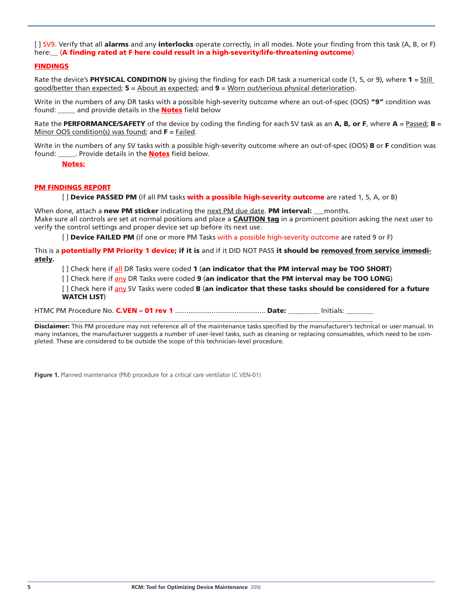[ ] SV9. Verify that all alarms and any interlocks operate correctly, in all modes. Note your finding from this task (A, B, or F) here: (A finding rated at F here could result in a high-severity/life-threatening outcome)

#### FINDINGS

Rate the device's **PHYSICAL CONDITION** by giving the finding for each DR task a numerical code (1, 5, or 9), where  $1 = \frac{Still}{n}$ good/better than expected; 5 = About as expected; and 9 = Worn out/serious physical deterioration.

Write in the numbers of any DR tasks with a possible high-severity outcome where an out-of-spec (OOS) "9" condition was found: \_\_\_\_\_ and provide details in the **Notes** field below

Rate the PERFORMANCE/SAFETY of the device by coding the finding for each SV task as an A, B, or F, where  $A =$  Passed; B = Minor OOS condition(s) was found; and  $F =$  Failed.

Write in the numbers of any SV tasks with a possible high-severity outcome where an out-of-spec (OOS) **B** or **F** condition was found: \_\_\_\_\_\_. Provide details in the **Notes** field below.

Notes:

#### PM FINDINGS REPORT

[] Device PASSED PM (if all PM tasks with a possible high-severity outcome are rated 1, 5, A, or B)

When done, attach a new PM sticker indicating the next PM due date. PM interval: \_\_\_ months. Make sure all controls are set at normal positions and place a **CAUTION tag** in a prominent position asking the next user to verify the control settings and proper device set up before its next use.

[] Device FAILED PM (if one or more PM Tasks with a possible high-severity outcome are rated 9 or F)

This is a **potentially PM Priority 1 device; if it is** and if it DID NOT PASS it should be removed from service immediately.

[] Check here if all DR Tasks were coded 1 (an indicator that the PM interval may be TOO SHORT)

[] Check here if any DR Tasks were coded 9 (an indicator that the PM interval may be TOO LONG)

[] Check here if any SV Tasks were coded **B** (an indicator that these tasks should be considered for a future WATCH LIST)

HTMC PM Procedure No. C.VEN – 01 rev 1 ............................................... Date: \_\_\_\_\_\_\_\_\_ Initials: \_\_\_\_\_\_\_\_  $\Box$ 

Disclaimer: This PM procedure may not reference all of the maintenance tasks specified by the manufacturer's technical or user manual. In many instances, the manufacturer suggests a number of user-level tasks, such as cleaning or replacing consumables, which need to be completed. These are considered to be outside the scope of this technician-level procedure.

**Figure 1.** Planned maintenance (PM) procedure for a critical care ventilator (C.VEN-01)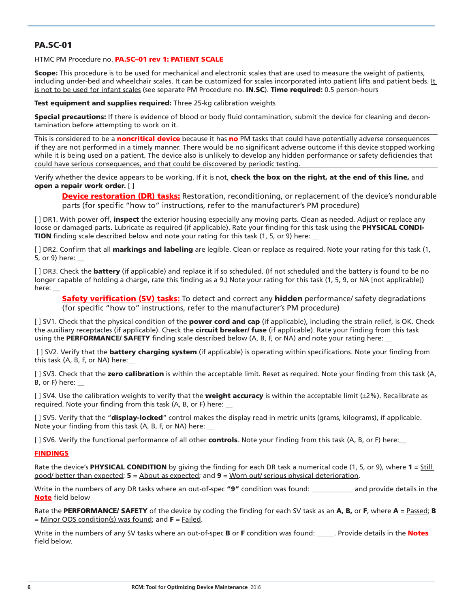## PA.SC-01

HTMC PM Procedure no. PA.SC-01 rev 1: PATIENT SCALE

Scope: This procedure is to be used for mechanical and electronic scales that are used to measure the weight of patients, including under-bed and wheelchair scales. It can be customized for scales incorporated into patient lifts and patient beds. It is not to be used for infant scales (see separate PM Procedure no. IN.SC). Time required: 0.5 person-hours

**Test equipment and supplies required:** Three 25-kg calibration weights

Special precautions: If there is evidence of blood or body fluid contamination, submit the device for cleaning and decontamination before attempting to work on it.

This is considered to be a **noncritical device** because it has no PM tasks that could have potentially adverse consequences if they are not performed in a timely manner. There would be no significant adverse outcome if this device stopped working while it is being used on a patient. The device also is unlikely to develop any hidden performance or safety deficiencies that could have serious consequences, and that could be discovered by periodic testing.

Verify whether the device appears to be working. If it is not, check the box on the right, at the end of this line, and open a repair work order. [ ]

Device restoration (DR) tasks: Restoration, reconditioning, or replacement of the device's nondurable parts (for specific "how to" instructions, refer to the manufacturer's PM procedure)

[ ] DR1. With power off, inspect the exterior housing especially any moving parts. Clean as needed. Adjust or replace any loose or damaged parts. Lubricate as required (if applicable). Rate your finding for this task using the PHYSICAL CONDI-TION finding scale described below and note your rating for this task (1, 5, or 9) here:

[ ] DR2. Confirm that all **markings and labeling** are legible. Clean or replace as required. Note your rating for this task (1, 5, or 9) here: \_\_

[] DR3. Check the **battery** (if applicable) and replace it if so scheduled. (If not scheduled and the battery is found to be no longer capable of holding a charge, rate this finding as a 9.) Note your rating for this task (1, 5, 9, or NA [not applicable]) here:

**Safety verification (SV) tasks:** To detect and correct any **hidden** performance/ safety degradations (for specific "how to" instructions, refer to the manufacturer's PM procedure)

[ ] SV1. Check that the physical condition of the **power cord and cap** (if applicable), including the strain relief, is OK. Check the auxiliary receptacles (if applicable). Check the **circuit breaker/ fuse** (if applicable). Rate your finding from this task using the **PERFORMANCE/ SAFETY** finding scale described below (A, B, F, or NA) and note your rating here:

[] SV2. Verify that the **battery charging system** (if applicable) is operating within specifications. Note your finding from this task (A, B, F, or NA) here:\_\_

[ ] SV3. Check that the zero calibration is within the acceptable limit. Reset as required. Note your finding from this task (A, B, or F) here:  $\Box$ 

[] SV4. Use the calibration weights to verify that the **weight accuracy** is within the acceptable limit  $(\pm 2\%)$ . Recalibrate as required. Note your finding from this task (A, B, or F) here: \_\_

[ ] SV5. Verify that the "**display-locked**" control makes the display read in metric units (grams, kilograms), if applicable. Note your finding from this task (A, B, F, or NA) here:

[ ] SV6. Verify the functional performance of all other controls. Note your finding from this task (A, B, or F) here:

#### FINDINGS

Rate the device's **PHYSICAL CONDITION** by giving the finding for each DR task a numerical code  $(1, 5, or 9)$ , where  $1 = 5$ till good/ better than expected; 5 = About as expected; and 9 = Worn out/ serious physical deterioration.

Write in the numbers of any DR tasks where an out-of-spec "9" condition was found: \_\_\_\_\_\_\_\_\_\_\_ and provide details in the Note field below

Rate the PERFORMANCE/ SAFETY of the device by coding the finding for each SV task as an A, B, or F, where  $A =$  Passed; B  $=$  Minor OOS condition(s) was found; and  $F =$  Failed.

Write in the numbers of any SV tasks where an out-of-spec **B** or **F** condition was found: \_\_\_\_\_\_. Provide details in the **Notes** field below.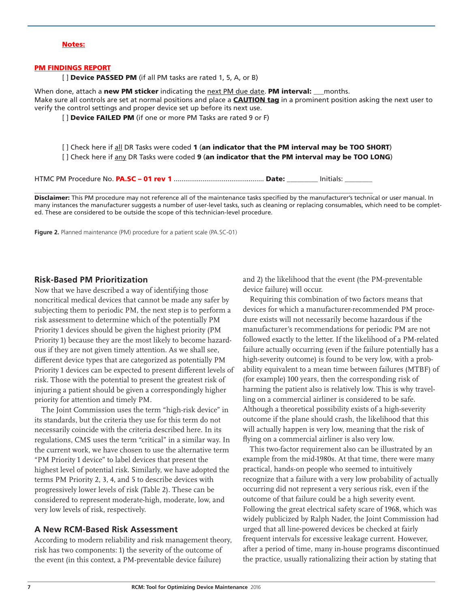#### Notes:

#### PM FINDINGS REPORT

[] Device PASSED PM (if all PM tasks are rated 1, 5, A, or B)

When done, attach a new PM sticker indicating the next PM due date. PM interval: \_\_\_months. Make sure all controls are set at normal positions and place a **CAUTION tag** in a prominent position asking the next user to verify the control settings and proper device set up before its next use.

[] Device FAILED PM (if one or more PM Tasks are rated 9 or F)

[] Check here if all DR Tasks were coded 1 (an indicator that the PM interval may be TOO SHORT) [] Check here if any DR Tasks were coded 9 (an indicator that the PM interval may be TOO LONG)

HTMC PM Procedure No. PA.SC – 01 rev 1 ............................................... Date: \_\_\_\_\_\_\_\_\_ Initials: \_\_\_\_\_\_\_\_  $\Box$ 

Disclaimer: This PM procedure may not reference all of the maintenance tasks specified by the manufacturer's technical or user manual. In many instances the manufacturer suggests a number of user-level tasks, such as cleaning or replacing consumables, which need to be completed. These are considered to be outside the scope of this technician-level procedure.

**Figure 2.** Planned maintenance (PM) procedure for a patient scale (PA.SC-01)

#### **Risk-Based PM Prioritization**

Now that we have described a way of identifying those noncritical medical devices that cannot be made any safer by subjecting them to periodic PM, the next step is to perform a risk assessment to determine which of the potentially PM Priority 1 devices should be given the highest priority (PM Priority 1) because they are the most likely to become hazardous if they are not given timely attention. As we shall see, different device types that are categorized as potentially PM Priority 1 devices can be expected to present different levels of risk. Those with the potential to present the greatest risk of injuring a patient should be given a correspondingly higher priority for attention and timely PM.

The Joint Commission uses the term "high-risk device" in its standards, but the criteria they use for this term do not necessarily coincide with the criteria described here. In its regulations, CMS uses the term "critical" in a similar way. In the current work, we have chosen to use the alternative term "PM Priority 1 device" to label devices that present the highest level of potential risk. Similarly, we have adopted the terms PM Priority 2, 3, 4, and 5 to describe devices with progressively lower levels of risk (Table 2). These can be considered to represent moderate-high, moderate, low, and very low levels of risk, respectively.

#### **A New RCM-Based Risk Assessment**

According to modern reliability and risk management theory, risk has two components: 1) the severity of the outcome of the event (in this context, a PM-preventable device failure)

and 2) the likelihood that the event (the PM-preventable device failure) will occur.

Requiring this combination of two factors means that devices for which a manufacturer-recommended PM procedure exists will not necessarily become hazardous if the manufacturer's recommendations for periodic PM are not followed exactly to the letter. If the likelihood of a PM-related failure actually occurring (even if the failure potentially has a high-severity outcome) is found to be very low, with a probability equivalent to a mean time between failures (MTBF) of (for example) 100 years, then the corresponding risk of harming the patient also is relatively low. This is why travelling on a commercial airliner is considered to be safe. Although a theoretical possibility exists of a high-severity outcome if the plane should crash, the likelihood that this will actually happen is very low, meaning that the risk of flying on a commercial airliner is also very low.

This two-factor requirement also can be illustrated by an example from the mid-1980s. At that time, there were many practical, hands-on people who seemed to intuitively recognize that a failure with a very low probability of actually occurring did not represent a very serious risk, even if the outcome of that failure could be a high severity event. Following the great electrical safety scare of 1968, which was widely publicized by Ralph Nader, the Joint Commission had urged that all line-powered devices be checked at fairly frequent intervals for excessive leakage current. However, after a period of time, many in-house programs discontinued the practice, usually rationalizing their action by stating that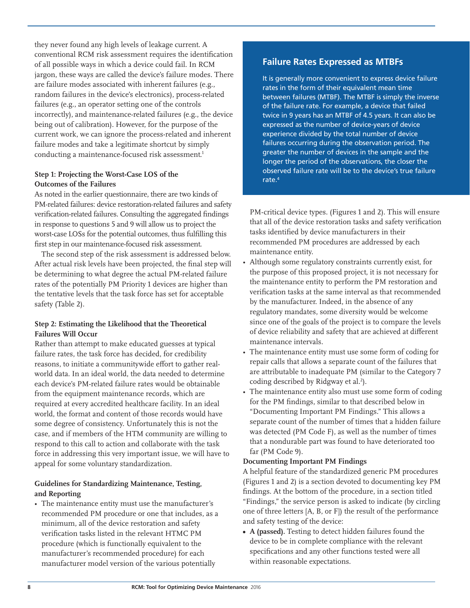they never found any high levels of leakage current. A conventional RCM risk assessment requires the identification of all possible ways in which a device could fail. In RCM jargon, these ways are called the device's failure modes. There are failure modes associated with inherent failures (e.g., random failures in the device's electronics), process-related failures (e.g., an operator setting one of the controls incorrectly), and maintenance-related failures (e.g., the device being out of calibration). However, for the purpose of the current work, we can ignore the process-related and inherent failure modes and take a legitimate shortcut by simply conducting a maintenance-focused risk assessment.<sup>1</sup>

## **Step 1: Projecting the Worst-Case LOS of the Outcomes of the Failures**

As noted in the earlier questionnaire, there are two kinds of PM-related failures: device restoration-related failures and safety verification-related failures. Consulting the aggregated findings in response to questions 5 and 9 will allow us to project the worst-case LOSs for the potential outcomes, thus fulfilling this first step in our maintenance-focused risk assessment.

The second step of the risk assessment is addressed below. After actual risk levels have been projected, the final step will be determining to what degree the actual PM-related failure rates of the potentially PM Priority 1 devices are higher than the tentative levels that the task force has set for acceptable safety (Table 2).

## **Step 2: Estimating the Likelihood that the Theoretical Failures Will Occur**

Rather than attempt to make educated guesses at typical failure rates, the task force has decided, for credibility reasons, to initiate a communitywide effort to gather realworld data. In an ideal world, the data needed to determine each device's PM-related failure rates would be obtainable from the equipment maintenance records, which are required at every accredited healthcare facility. In an ideal world, the format and content of those records would have some degree of consistency. Unfortunately this is not the case, and if members of the HTM community are willing to respond to this call to action and collaborate with the task force in addressing this very important issue, we will have to appeal for some voluntary standardization.

## **Guidelines for Standardizing Maintenance, Testing, and Reporting**

• The maintenance entity must use the manufacturer's recommended PM procedure or one that includes, as a minimum, all of the device restoration and safety verification tasks listed in the relevant HTMC PM procedure (which is functionally equivalent to the manufacturer's recommended procedure) for each manufacturer model version of the various potentially

## **Failure Rates Expressed as MTBFs**

It is generally more convenient to express device failure rates in the form of their equivalent mean time between failures (MTBF). The MTBF is simply the inverse of the failure rate. For example, a device that failed twice in 9 years has an MTBF of 4.5 years. It can also be expressed as the number of device-years of device experience divided by the total number of device failures occurring during the observation period. The greater the number of devices in the sample and the longer the period of the observations, the closer the observed failure rate will be to the device's true failure rate.4

PM-critical device types. (Figures 1 and 2). This will ensure that all of the device restoration tasks and safety verification tasks identified by device manufacturers in their recommended PM procedures are addressed by each maintenance entity.

- Although some regulatory constraints currently exist, for the purpose of this proposed project, it is not necessary for the maintenance entity to perform the PM restoration and verification tasks at the same interval as that recommended by the manufacturer. Indeed, in the absence of any regulatory mandates, some diversity would be welcome since one of the goals of the project is to compare the levels of device reliability and safety that are achieved at different maintenance intervals.
- The maintenance entity must use some form of coding for repair calls that allows a separate count of the failures that are attributable to inadequate PM (similar to the Category 7 coding described by Ridgway et al.<sup>2</sup>).
- The maintenance entity also must use some form of coding for the PM findings, similar to that described below in "Documenting Important PM Findings." This allows a separate count of the number of times that a hidden failure was detected (PM Code F), as well as the number of times that a nondurable part was found to have deteriorated too far (PM Code 9).

## **Documenting Important PM Findings**

A helpful feature of the standardized generic PM procedures (Figures 1 and 2) is a section devoted to documenting key PM findings. At the bottom of the procedure, in a section titled "Findings," the service person is asked to indicate (by circling one of three letters [A, B, or F]) the result of the performance and safety testing of the device:

**• A (passed).** Testing to detect hidden failures found the device to be in complete compliance with the relevant specifications and any other functions tested were all within reasonable expectations.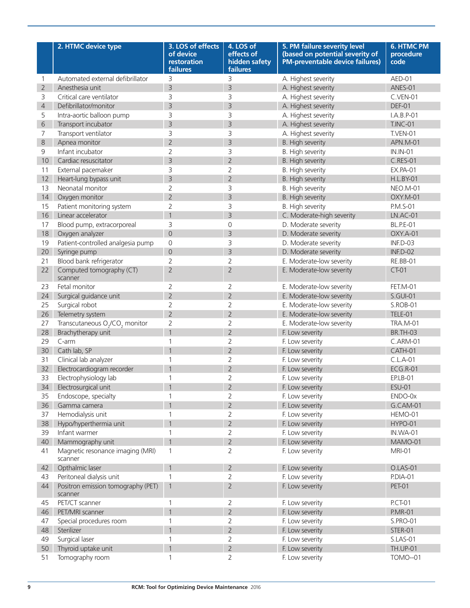|                | 2. HTMC device type                                    | 3. LOS of effects<br>of device<br>restoration<br>failures | 4. LOS of<br>effects of<br>hidden safety<br>failures | 5. PM failure severity level<br>(based on potential severity of<br><b>PM-preventable device failures)</b> | <b>6. HTMC PM</b><br>procedure<br>code |
|----------------|--------------------------------------------------------|-----------------------------------------------------------|------------------------------------------------------|-----------------------------------------------------------------------------------------------------------|----------------------------------------|
| 1              | Automated external defibrillator                       | 3                                                         | 3                                                    | A. Highest severity                                                                                       | AED-01                                 |
| $\overline{2}$ | Anesthesia unit                                        | $\overline{3}$                                            | $\overline{3}$                                       | A. Highest severity                                                                                       | ANES-01                                |
| 3              | Critical care ventilator                               | 3                                                         | 3                                                    | A. Highest severity                                                                                       | C.VEN-01                               |
| $\overline{4}$ | Defibrillator/monitor                                  | $\overline{3}$                                            | 3                                                    | A. Highest severity                                                                                       | DEF-01                                 |
| 5              | Intra-aortic balloon pump                              | 3                                                         | 3                                                    | A. Highest severity                                                                                       | $I.A.B.P-01$                           |
| 6              | Transport incubator                                    | $\overline{3}$                                            | $\overline{3}$                                       | A. Highest severity                                                                                       | <b>T.INC-01</b>                        |
| 7              | Transport ventilator                                   | 3                                                         | 3                                                    | A. Highest severity                                                                                       | T.VEN-01                               |
| 8              | Apnea monitor                                          | $\overline{2}$                                            | $\overline{3}$                                       | <b>B.</b> High severity                                                                                   | APN.M-01                               |
| 9              | Infant incubator                                       | $\overline{2}$                                            | 3                                                    | B. High severity                                                                                          | <b>IN.IN-01</b>                        |
| 10             | Cardiac resuscitator                                   | $\overline{3}$                                            | $\overline{2}$                                       | <b>B.</b> High severity                                                                                   | C.RES-01                               |
| 11             | External pacemaker                                     | 3                                                         | $\overline{2}$                                       | B. High severity                                                                                          | <b>EX.PA-01</b>                        |
| 12             | Heart-lung bypass unit                                 | $\overline{3}$                                            | $\overline{2}$                                       | <b>B.</b> High severity                                                                                   | <b>H.L.BY-01</b>                       |
| 13             | Neonatal monitor                                       | $\overline{2}$                                            | 3                                                    | B. High severity                                                                                          | <b>NEO.M-01</b>                        |
| 14             | Oxygen monitor                                         | $\overline{2}$                                            | $\overline{3}$                                       | <b>B.</b> High severity                                                                                   | OXY.M-01                               |
| 15             | Patient monitoring system                              | $\overline{2}$                                            | 3                                                    | B. High severity                                                                                          | P.M.S-01                               |
| 16             | Linear accelerator                                     | $\overline{1}$                                            | $\overline{3}$                                       | C. Moderate-high severity                                                                                 | $LN.AC-01$                             |
| 17             | Blood pump, extracorporeal                             | 3                                                         | $\overline{0}$                                       | D. Moderate severity                                                                                      | <b>BL.P.E-01</b>                       |
| 18             | Oxygen analyzer                                        | $\overline{0}$                                            | 3                                                    | D. Moderate severity                                                                                      | OXY.A-01                               |
| 19             | Patient-controlled analgesia pump                      | $\mathsf{O}\xspace$                                       | 3                                                    | D. Moderate severity                                                                                      | INF.D-03                               |
| 20             | Syringe pump                                           | $\mathsf{O}$                                              | $\overline{3}$                                       | D. Moderate severity                                                                                      | INF.D-02                               |
| 21             | Blood bank refrigerator                                | $\overline{2}$                                            | $\overline{2}$                                       | E. Moderate-low severity                                                                                  | RE.BB-01                               |
| 22             | Computed tomography (CT)<br>scanner                    | $\overline{2}$                                            | $\overline{2}$                                       | E. Moderate-low severity                                                                                  | <b>CT-01</b>                           |
| 23             | Fetal monitor                                          | $\overline{2}$                                            | 2                                                    | E. Moderate-low severity                                                                                  | FET.M-01                               |
| 24             | Surgical guidance unit                                 | $\overline{2}$                                            | $\overline{2}$                                       | E. Moderate-low severity                                                                                  | S.GUI-01                               |
| 25             | Surgical robot                                         | $\overline{2}$                                            | 2                                                    | E. Moderate-low severity                                                                                  | S.ROB-01                               |
| 26             | Telemetry system                                       | $\overline{2}$                                            | $\overline{2}$                                       | E. Moderate-low severity                                                                                  | TELE-01                                |
| 27             | Transcutaneous O <sub>2</sub> /CO <sub>2</sub> monitor | $\overline{2}$                                            | 2                                                    | E. Moderate-low severity                                                                                  | <b>TRA.M-01</b>                        |
| 28             | Brachytherapy unit                                     | $\overline{1}$                                            | $\overline{2}$                                       | F. Low severity                                                                                           | <b>BR.TH-03</b>                        |
| 29             | C-arm                                                  | $\mathbf{1}$                                              | 2                                                    | F. Low severity                                                                                           | C.ARM-01                               |
| 30             | Cath lab, SP                                           | $\overline{1}$                                            | $\overline{2}$                                       | F. Low severity                                                                                           | CATH-01                                |
| 31             | Clinical lab analyzer                                  | 1                                                         | $\overline{2}$                                       | F. Low severity                                                                                           | $C.L.A-01$                             |
| 32             | Electrocardiogram recorder                             |                                                           | $\overline{2}$                                       | F. Low severity                                                                                           | <b>ECG.R-01</b>                        |
| 33             | Electrophysiology lab                                  | $\mathbf 1$                                               | $\overline{2}$                                       | F. Low severity                                                                                           | <b>EP.LB-01</b>                        |
| 34             | Electrosurgical unit                                   | $\overline{1}$                                            | $\overline{2}$                                       | F. Low severity                                                                                           | <b>ESU-01</b>                          |
| 35             | Endoscope, specialty                                   | 1                                                         | 2                                                    | F. Low severity                                                                                           | ENDO-0x                                |
| 36             | Gamma camera                                           | $\overline{1}$                                            | $\overline{2}$                                       | F. Low severity                                                                                           | G.CAM-01                               |
| 37             | Hemodialysis unit                                      | 1                                                         | 2                                                    | F. Low severity                                                                                           | HEMO-01                                |
| 38             | Hypo/hyperthermia unit                                 | $\overline{1}$                                            | $\overline{2}$                                       | F. Low severity                                                                                           | HYPO-01                                |
| 39             | Infant warmer                                          | $\mathbf{1}$                                              | 2                                                    | F. Low severity                                                                                           | IN.WA-01                               |
| 40             | Mammography unit                                       | $\overline{1}$                                            | $\overline{2}$                                       | F. Low severity                                                                                           | MAMO-01                                |
| 41             | Magnetic resonance imaging (MRI)<br>scanner            | $\mathbf{1}$                                              | $\overline{2}$                                       | F. Low severity                                                                                           | MRI-01                                 |
| 42             | Opthalmic laser                                        | $\overline{1}$                                            | $\overline{2}$                                       | F. Low severity                                                                                           | <b>O.LAS-01</b>                        |
| 43             | Peritoneal dialysis unit                               | $\mathbf{1}$                                              | $\overline{2}$                                       | F. Low severity                                                                                           | P.DIA-01                               |
| 44             | Positron emission tomography (PET)<br>scanner          | $\mathbf{1}$                                              | $\overline{2}$                                       | F. Low severity                                                                                           | <b>PET-01</b>                          |
| 45             | PET/CT scanner                                         | $\mathbf{1}$                                              | $\overline{2}$                                       | F. Low severity                                                                                           | <b>P.CT-01</b>                         |
| 46             | PET/MRI scanner                                        | $\overline{1}$                                            | $\overline{2}$                                       | F. Low severity                                                                                           | <b>P.MR-01</b>                         |
| 47             | Special procedures room                                | $\mathbf{1}$                                              | 2                                                    | F. Low severity                                                                                           | <b>S.PRO-01</b>                        |
| 48             | Sterilizer                                             | $\overline{1}$                                            | $\overline{2}$                                       | F. Low severity                                                                                           | STER-01                                |
| 49             | Surgical laser                                         | $\mathbf{1}$                                              | 2                                                    | F. Low severity                                                                                           | S.LAS-01                               |
| 50             | Thyroid uptake unit                                    | $\overline{1}$                                            | $\overline{2}$                                       | F. Low severity                                                                                           | <b>TH.UP-01</b>                        |
| 51             | Tomography room                                        | $\mathbf{1}$                                              | $\overline{2}$                                       | F. Low severity                                                                                           | TOMO--01                               |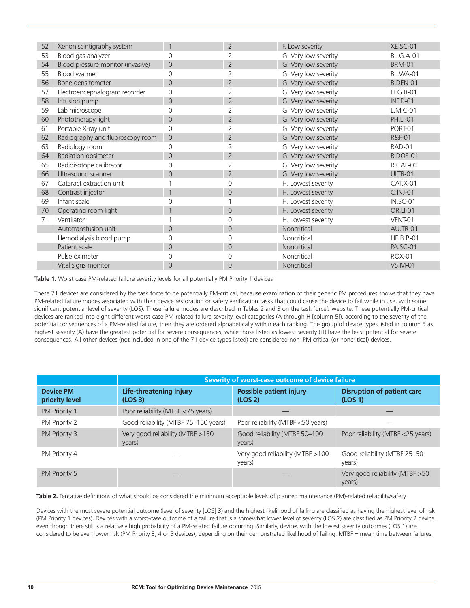| 52 | Xenon scintigraphy system         |                | $\overline{2}$ | F. Low severity      | $XE.SC-01$        |
|----|-----------------------------------|----------------|----------------|----------------------|-------------------|
| 53 | Blood gas analyzer                | $\Omega$       |                | G. Very low severity | <b>BL.G.A-01</b>  |
| 54 | Blood pressure monitor (invasive) | $\overline{0}$ | $\overline{2}$ | G. Very low severity | <b>BP.M-01</b>    |
| 55 | Blood warmer                      | $\Omega$       | 2              | G. Very low severity | <b>BL.WA-01</b>   |
| 56 | Bone densitometer                 | $\overline{0}$ | $\overline{2}$ | G. Very low severity | <b>B.DEN-01</b>   |
| 57 | Electroencephalogram recorder     | $\Omega$       |                | G. Very low severity | <b>EEG.R-01</b>   |
| 58 | Infusion pump                     | $\overline{0}$ | $\overline{2}$ | G. Very low severity | $INF.D-01$        |
| 59 | Lab microscope                    | $\Omega$       |                | G. Very low severity | $L.MIC-01$        |
| 60 | Phototherapy light                | $\overline{0}$ | 2              | G. Very low severity | <b>PH.LI-01</b>   |
| 61 | Portable X-ray unit               | $\Omega$       |                | G. Very low severity | PORT-01           |
| 62 | Radiography and fluoroscopy room  | $\overline{0}$ | $\overline{2}$ | G. Very low severity | R&F-01            |
| 63 | Radiology room                    | $\Omega$       |                | G. Very low severity | RAD-01            |
| 64 | Radiation dosimeter               | $\overline{0}$ | $\overline{2}$ | G. Very low severity | <b>R.DOS-01</b>   |
| 65 | Radioisotope calibrator           | $\Omega$       |                | G. Very low severity | R.CAL-01          |
| 66 | Ultrasound scanner                | $\Omega$       | $\overline{2}$ | G. Very low severity | ULTR-01           |
| 67 | Cataract extraction unit          |                | ∩              | H. Lowest severity   | $CAT.X-01$        |
| 68 | Contrast injector                 |                | $\Omega$       | H. Lowest severity   | $C.INI-01$        |
| 69 | Infant scale                      |                |                | H. Lowest severity   | IN.SC-01          |
| 70 | Operating room light              |                | $\Omega$       | H. Lowest severity   | <b>OR.LI-01</b>   |
| 71 | Ventilator                        |                |                | H. Lowest severity   | VENT-01           |
|    | Autotransfusion unit              | $\Omega$       | $\Omega$       | Noncritical          | <b>AU.TR-01</b>   |
|    | Hemodialysis blood pump           | $\Omega$       |                | Noncritical          | <b>HE.B.P.-01</b> |
|    | Patient scale                     | $\Omega$       | $\Omega$       | Noncritical          | <b>PA.SC-01</b>   |
|    | Pulse oximeter                    | $\Omega$       |                | Noncritical          | P.OX-01           |
|    | Vital signs monitor               | $\Omega$       | $\Omega$       | Noncritical          | $VS.M-01$         |
|    |                                   |                |                |                      |                   |

Table 1. Worst case PM-related failure severity levels for all potentially PM Priority 1 devices

These 71 devices are considered by the task force to be potentially PM-critical, because examination of their generic PM procedures shows that they have PM-related failure modes associated with their device restoration or safety verification tasks that could cause the device to fail while in use, with some significant potential level of severity (LOS). These failure modes are described in Tables 2 and 3 on the task force's website. These potentially PM-critical devices are ranked into eight different worst-case PM-related failure severity level categories (A through H [column 5]), according to the severity of the potential consequences of a PM-related failure, then they are ordered alphabetically within each ranking. The group of device types listed in column 5 as highest severity (A) have the greatest potential for severe consequences, while those listed as lowest severity (H) have the least potential for severe consequences. All other devices (not included in one of the 71 device types listed) are considered non–PM critical (or noncritical) devices.

|                                    |                                                       | Severity of worst-case outcome of device failure |                                              |  |  |
|------------------------------------|-------------------------------------------------------|--------------------------------------------------|----------------------------------------------|--|--|
| <b>Device PM</b><br>priority level | <b>Life-threatening injury</b><br>(LOS <sub>3</sub> ) | <b>Possible patient injury</b><br>(LOS 2)        | <b>Disruption of patient care</b><br>(LOS 1) |  |  |
| PM Priority 1                      | Poor reliability (MTBF <75 years)                     |                                                  |                                              |  |  |
| PM Priority 2                      | Good reliability (MTBF 75-150 years)                  | Poor reliability (MTBF <50 years)                |                                              |  |  |
| PM Priority 3                      | Very good reliability (MTBF >150<br>years)            | Good reliability (MTBF 50-100<br>years)          | Poor reliability (MTBF <25 years)            |  |  |
| PM Priority 4                      |                                                       | Very good reliability (MTBF >100<br>years)       | Good reliability (MTBF 25-50<br>years)       |  |  |
| PM Priority 5                      |                                                       |                                                  | Very good reliability (MTBF > 50<br>years)   |  |  |

Table 2. Tentative definitions of what should be considered the minimum acceptable levels of planned maintenance (PM)-related reliability/safety

Devices with the most severe potential outcome (level of severity [LOS] 3) and the highest likelihood of failing are classified as having the highest level of risk (PM Priority 1 devices). Devices with a worst-case outcome of a failure that is a somewhat lower level of severity (LOS 2) are classified as PM Priority 2 device, even though there still is a relatively high probability of a PM-related failure occurring. Similarly, devices with the lowest severity outcomes (LOS 1) are considered to be even lower risk (PM Priority 3, 4 or 5 devices), depending on their demonstrated likelihood of failing. MTBF = mean time between failures.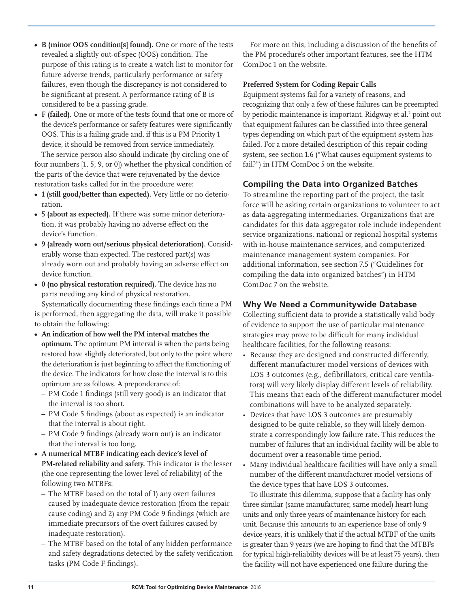- **• B (minor OOS condition[s] found).** One or more of the tests revealed a slightly out-of-spec (OOS) condition. The purpose of this rating is to create a watch list to monitor for future adverse trends, particularly performance or safety failures, even though the discrepancy is not considered to be significant at present. A performance rating of B is considered to be a passing grade.
- **• F (failed).** One or more of the tests found that one or more of the device's performance or safety features were significantly OOS. This is a failing grade and, if this is a PM Priority 1 device, it should be removed from service immediately.

The service person also should indicate (by circling one of four numbers [1, 5, 9, or 0]) whether the physical condition of the parts of the device that were rejuvenated by the device restoration tasks called for in the procedure were:

- **• 1 (still good/better than expected).** Very little or no deterioration.
- **• 5 (about as expected).** If there was some minor deterioration, it was probably having no adverse effect on the device's function.
- **• 9 (already worn out/serious physical deterioration).** Considerably worse than expected. The restored part(s) was already worn out and probably having an adverse effect on device function.
- **• 0 (no physical restoration required).** The device has no parts needing any kind of physical restoration.

Systematically documenting these findings each time a PM is performed, then aggregating the data, will make it possible to obtain the following:

- **• An indication of how well the PM interval matches the optimum.** The optimum PM interval is when the parts being restored have slightly deteriorated, but only to the point where the deterioration is just beginning to affect the functioning of the device. The indicators for how close the interval is to this optimum are as follows. A preponderance of:
	- PM Code 1 findings (still very good) is an indicator that the interval is too short.
	- PM Code 5 findings (about as expected) is an indicator that the interval is about right.
	- PM Code 9 findings (already worn out) is an indicator that the interval is too long.
- **• A numerical MTBF indicating each device's level of PM-related reliability and safety.** This indicator is the lesser (the one representing the lower level of reliability) of the following two MTBFs:
	- The MTBF based on the total of 1) any overt failures caused by inadequate device restoration (from the repair cause coding) and 2) any PM Code 9 findings (which are immediate precursors of the overt failures caused by inadequate restoration).
	- The MTBF based on the total of any hidden performance and safety degradations detected by the safety verification tasks (PM Code F findings).

For more on this, including a discussion of the benefits of the PM procedure's other important features, see the HTM ComDoc 1 on the website.

## **Preferred System for Coding Repair Calls**

Equipment systems fail for a variety of reasons, and recognizing that only a few of these failures can be preempted by periodic maintenance is important. Ridgway et al.<sup>2</sup> point out that equipment failures can be classified into three general types depending on which part of the equipment system has failed. For a more detailed description of this repair coding system, see section 1.6 ("What causes equipment systems to fail?") in HTM ComDoc 5 on the website.

## **Compiling the Data into Organized Batches**

To streamline the reporting part of the project, the task force will be asking certain organizations to volunteer to act as data-aggregating intermediaries. Organizations that are candidates for this data aggregator role include independent service organizations, national or regional hospital systems with in-house maintenance services, and computerized maintenance management system companies. For additional information, see section 7.5 ("Guidelines for compiling the data into organized batches") in HTM ComDoc 7 on the website.

## **Why We Need a Communitywide Database**

Collecting sufficient data to provide a statistically valid body of evidence to support the use of particular maintenance strategies may prove to be difficult for many individual healthcare facilities, for the following reasons:

- Because they are designed and constructed differently, different manufacturer model versions of devices with LOS 3 outcomes (e.g., defibrillators, critical care ventilators) will very likely display different levels of reliability. This means that each of the different manufacturer model combinations will have to be analyzed separately.
- Devices that have LOS 3 outcomes are presumably designed to be quite reliable, so they will likely demonstrate a correspondingly low failure rate. This reduces the number of failures that an individual facility will be able to document over a reasonable time period.
- Many individual healthcare facilities will have only a small number of the different manufacturer model versions of the device types that have LOS 3 outcomes.

To illustrate this dilemma, suppose that a facility has only three similar (same manufacturer, same model) heart-lung units and only three years of maintenance history for each unit. Because this amounts to an experience base of only 9 device-years, it is unlikely that if the actual MTBF of the units is greater than 9 years (we are hoping to find that the MTBFs for typical high-reliability devices will be at least 75 years), then the facility will not have experienced one failure during the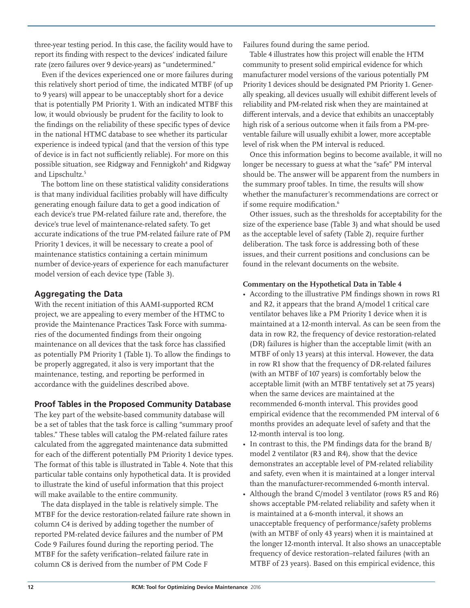three-year testing period. In this case, the facility would have to report its finding with respect to the devices' indicated failure rate (zero failures over 9 device-years) as "undetermined."

Even if the devices experienced one or more failures during this relatively short period of time, the indicated MTBF (of up to 9 years) will appear to be unacceptably short for a device that is potentially PM Priority 1. With an indicated MTBF this low, it would obviously be prudent for the facility to look to the findings on the reliability of these specific types of device in the national HTMC database to see whether its particular experience is indeed typical (and that the version of this type of device is in fact not sufficiently reliable). For more on this possible situation, see Ridgway and Fennigkoh<sup>4</sup> and Ridgway and Lipschultz.<sup>5</sup>

The bottom line on these statistical validity considerations is that many individual facilities probably will have difficulty generating enough failure data to get a good indication of each device's true PM-related failure rate and, therefore, the device's true level of maintenance-related safety. To get accurate indications of the true PM-related failure rate of PM Priority 1 devices, it will be necessary to create a pool of maintenance statistics containing a certain minimum number of device-years of experience for each manufacturer model version of each device type (Table 3).

## **Aggregating the Data**

With the recent initiation of this AAMI-supported RCM project, we are appealing to every member of the HTMC to provide the Maintenance Practices Task Force with summaries of the documented findings from their ongoing maintenance on all devices that the task force has classified as potentially PM Priority 1 (Table 1). To allow the findings to be properly aggregated, it also is very important that the maintenance, testing, and reporting be performed in accordance with the guidelines described above.

## **Proof Tables in the Proposed Community Database**

The key part of the website-based community database will be a set of tables that the task force is calling "summary proof tables." These tables will catalog the PM-related failure rates calculated from the aggregated maintenance data submitted for each of the different potentially PM Priority 1 device types. The format of this table is illustrated in Table 4. Note that this particular table contains only hypothetical data. It is provided to illustrate the kind of useful information that this project will make available to the entire community.

The data displayed in the table is relatively simple. The MTBF for the device restoration-related failure rate shown in column C4 is derived by adding together the number of reported PM-related device failures and the number of PM Code 9 Failures found during the reporting period. The MTBF for the safety verification–related failure rate in column C8 is derived from the number of PM Code F

Failures found during the same period.

Table 4 illustrates how this project will enable the HTM community to present solid empirical evidence for which manufacturer model versions of the various potentially PM Priority 1 devices should be designated PM Priority 1. Generally speaking, all devices usually will exhibit different levels of reliability and PM-related risk when they are maintained at different intervals, and a device that exhibits an unacceptably high risk of a serious outcome when it fails from a PM-preventable failure will usually exhibit a lower, more acceptable level of risk when the PM interval is reduced.

Once this information begins to become available, it will no longer be necessary to guess at what the "safe" PM interval should be. The answer will be apparent from the numbers in the summary proof tables. In time, the results will show whether the manufacturer's recommendations are correct or if some require modification.<sup>6</sup>

Other issues, such as the thresholds for acceptability for the size of the experience base (Table 3) and what should be used as the acceptable level of safety (Table 2), require further deliberation. The task force is addressing both of these issues, and their current positions and conclusions can be found in the relevant documents on the website.

## **Commentary on the Hypothetical Data in Table 4**

- According to the illustrative PM findings shown in rows R1 and R2, it appears that the brand A/model 1 critical care ventilator behaves like a PM Priority 1 device when it is maintained at a 12-month interval. As can be seen from the data in row R2, the frequency of device restoration-related (DR) failures is higher than the acceptable limit (with an MTBF of only 13 years) at this interval. However, the data in row R1 show that the frequency of DR-related failures (with an MTBF of 107 years) is comfortably below the acceptable limit (with an MTBF tentatively set at 75 years) when the same devices are maintained at the recommended 6-month interval. This provides good empirical evidence that the recommended PM interval of 6 months provides an adequate level of safety and that the 12-month interval is too long.
- In contrast to this, the PM findings data for the brand B/ model 2 ventilator (R3 and R4), show that the device demonstrates an acceptable level of PM-related reliability and safety, even when it is maintained at a longer interval than the manufacturer-recommended 6-month interval.
- Although the brand C/model 3 ventilator (rows R5 and R6) shows acceptable PM-related reliability and safety when it is maintained at a 6-month interval, it shows an unacceptable frequency of performance/safety problems (with an MTBF of only 43 years) when it is maintained at the longer 12-month interval. It also shows an unacceptable frequency of device restoration–related failures (with an MTBF of 23 years). Based on this empirical evidence, this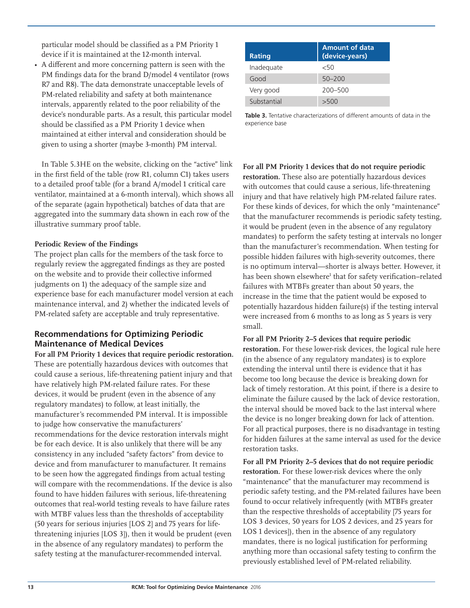particular model should be classified as a PM Priority 1 device if it is maintained at the 12-month interval.

• A different and more concerning pattern is seen with the PM findings data for the brand D/model 4 ventilator (rows R7 and R8). The data demonstrate unacceptable levels of PM-related reliability and safety at both maintenance intervals, apparently related to the poor reliability of the device's nondurable parts. As a result, this particular model should be classified as a PM Priority 1 device when maintained at either interval and consideration should be given to using a shorter (maybe 3-month) PM interval.

In Table 5.3HE on the website, clicking on the "active" link in the first field of the table (row R1, column C1) takes users to a detailed proof table (for a brand A/model 1 critical care ventilator, maintained at a 6-month interval), which shows all of the separate (again hypothetical) batches of data that are aggregated into the summary data shown in each row of the illustrative summary proof table.

#### **Periodic Review of the Findings**

The project plan calls for the members of the task force to regularly review the aggregated findings as they are posted on the website and to provide their collective informed judgments on 1) the adequacy of the sample size and experience base for each manufacturer model version at each maintenance interval, and 2) whether the indicated levels of PM-related safety are acceptable and truly representative.

## **Recommendations for Optimizing Periodic Maintenance of Medical Devices**

**For all PM Priority 1 devices that require periodic restoration.** These are potentially hazardous devices with outcomes that could cause a serious, life-threatening patient injury and that have relatively high PM-related failure rates. For these devices, it would be prudent (even in the absence of any regulatory mandates) to follow, at least initially, the manufacturer's recommended PM interval. It is impossible to judge how conservative the manufacturers' recommendations for the device restoration intervals might be for each device. It is also unlikely that there will be any consistency in any included "safety factors" from device to device and from manufacturer to manufacturer. It remains to be seen how the aggregated findings from actual testing will compare with the recommendations. If the device is also found to have hidden failures with serious, life-threatening outcomes that real-world testing reveals to have failure rates with MTBF values less than the thresholds of acceptability (50 years for serious injuries [LOS 2] and 75 years for lifethreatening injuries [LOS 3]), then it would be prudent (even in the absence of any regulatory mandates) to perform the safety testing at the manufacturer-recommended interval.

| <b>Rating</b> | <b>Amount of data</b><br>(device-years) |
|---------------|-----------------------------------------|
| Inadequate    | 50>                                     |
| Good          | $50 - 200$                              |
| Very good     | $200 - 500$                             |
| Substantial   | >500                                    |

**Table 3.** Tentative characterizations of different amounts of data in the experience base

## **For all PM Priority 1 devices that do not require periodic**

**restoration.** These also are potentially hazardous devices with outcomes that could cause a serious, life-threatening injury and that have relatively high PM-related failure rates. For these kinds of devices, for which the only "maintenance" that the manufacturer recommends is periodic safety testing, it would be prudent (even in the absence of any regulatory mandates) to perform the safety testing at intervals no longer than the manufacturer's recommendation. When testing for possible hidden failures with high-severity outcomes, there is no optimum interval—shorter is always better. However, it has been shown elsewhere<sup>1</sup> that for safety verification–related failures with MTBFs greater than about 50 years, the increase in the time that the patient would be exposed to potentially hazardous hidden failure(s) if the testing interval were increased from 6 months to as long as 5 years is very small.

#### **For all PM Priority 2–5 devices that require periodic**

**restoration.** For these lower-risk devices, the logical rule here (in the absence of any regulatory mandates) is to explore extending the interval until there is evidence that it has become too long because the device is breaking down for lack of timely restoration. At this point, if there is a desire to eliminate the failure caused by the lack of device restoration, the interval should be moved back to the last interval where the device is no longer breaking down for lack of attention. For all practical purposes, there is no disadvantage in testing for hidden failures at the same interval as used for the device restoration tasks.

**For all PM Priority 2–5 devices that do not require periodic restoration.** For these lower-risk devices where the only "maintenance" that the manufacturer may recommend is periodic safety testing, and the PM-related failures have been found to occur relatively infrequently (with MTBFs greater than the respective thresholds of acceptability [75 years for LOS 3 devices, 50 years for LOS 2 devices, and 25 years for LOS 1 devices]), then in the absence of any regulatory mandates, there is no logical justification for performing anything more than occasional safety testing to confirm the previously established level of PM-related reliability.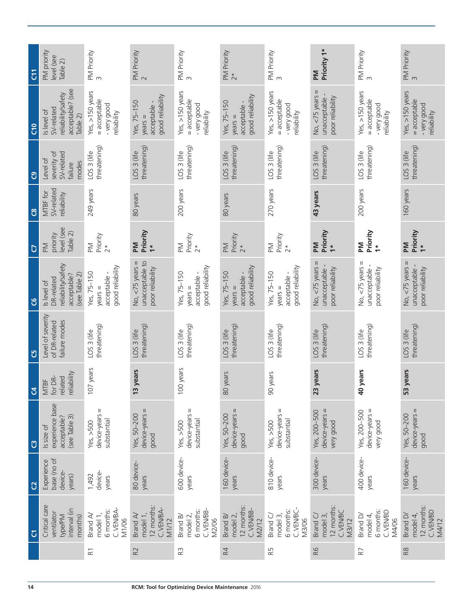| $\overline{c}$ | PM priority<br>level (see<br>Table 2)                                           | PM Priority<br>3                                              | PM Priority<br>2                                           | PM Priority<br>3                                              | PM Priority<br>$2*$                                                 | PM Priority<br>$\infty$                                       | Priority 1*<br><b>Nd</b>                                                         | PM Priority<br>3                                              | PM Priority<br>3                                                |
|----------------|---------------------------------------------------------------------------------|---------------------------------------------------------------|------------------------------------------------------------|---------------------------------------------------------------|---------------------------------------------------------------------|---------------------------------------------------------------|----------------------------------------------------------------------------------|---------------------------------------------------------------|-----------------------------------------------------------------|
| $\frac{1}{2}$  | acceptable? (see<br>reliability/safety<br>SV-related<br>Is level of<br>Table 2) | Yes, >150 years<br>= acceptable<br>- very good<br>reliability | good reliability<br>Yes, 75-150<br>acceptable<br>$years =$ | Yes, >150 years<br>= acceptable<br>- very good<br>reliability | good reliability<br>Yes, 75-150<br>acceptable -<br>$y$ ears $=$     | Yes, >150 years<br>= acceptable<br>- very good<br>reliability | Ш<br>unacceptable -<br>No, <75 years<br>poor reliability                         | Yes, >150 years<br>= acceptable<br>- very good<br>reliability | Yes, $>150$ years<br>= acceptable<br>- very good<br>reliability |
| ී              | severity of<br>SV-related<br>Level of<br>modes<br>failure                       | threatening)<br>LOS 3 (life                                   | threatening)<br>LOS 3 (life                                | threatening)<br>LOS 3 (life                                   | threatening)<br>LOS <sub>3</sub> (life                              | threatening)<br>LOS <sub>3</sub> (life                        | threatening)<br>LOS 3 (life                                                      | threatening)<br>LOS 3 (life                                   | threatening)<br>LOS 3 (life                                     |
| ဗိ             | SV-related<br>MTBF for<br>reliability                                           | 249 years                                                     | 80 years                                                   | 200 years                                                     | 80 years                                                            | 270 years                                                     | 43 years                                                                         | 200 years                                                     | 160 years                                                       |
| $\overline{C}$ | level (see<br>Table 2)<br>priority<br>M                                         | Priority<br>M<br>$\tilde{c}^*$                                | Priority<br>M<br>$\ddot{\tau}$                             | Priority<br>2*<br>$\geq$                                      | Priority<br>2*<br>$\geq$                                            | Priority<br>2*<br>$\geq$                                      | Priority<br><b>Md</b><br>$\ddot{\tau}$                                           | Priority<br>Μd<br>$\ddot{\phantom{1}}$                        | Priority<br><b>Md</b><br>$\ddot{\phantom{1}}$                   |
| ප              | reliability/safety<br>acceptable?<br>(see Table 2)<br>DR-related<br>Is level of | good reliability<br>Yes, 75-150<br>acceptable -<br>$years =$  | No, $<$ 75 years =<br>unacceptable to<br>poor reliability  | good reliability<br>Yes, 75-150<br>acceptable<br>$years =$    | good reliability<br>Yes, 75-150<br>acceptable -<br>$\text{years} =$ | good reliability<br>Yes, 75-150<br>acceptable -<br>$year =$   | Ш<br>No, <75 years<br>poor reliability<br>unacceptable                           | Ш<br>unacceptable -<br>No, <75 years<br>poor reliability      | No, $<$ 75 years $=$<br>poor reliability<br>unacceptable        |
| უ              | Level of severity<br>failure modes<br>of DR-related                             | threatening)<br>LOS 3 (life                                   | threatening)<br>LOS 3 (life                                | threatening)<br>LOS 3 (life                                   | threatening)<br>LOS <sub>3</sub> (life                              | threatening)<br>LOS <sub>3</sub> (life                        | threatening)<br>LOS <sub>3</sub> (life                                           | threatening)<br>LOS <sub>3</sub> (life                        | threatening)<br>LOS 3 (life                                     |
| $\mathfrak{A}$ | reliability<br>related<br>for DR-<br><b>MTBF</b>                                | years<br>107                                                  | vears<br>13                                                | years<br>100                                                  | vears<br>80 y                                                       | /ears<br>60y                                                  | years<br>23 <sub>Y</sub>                                                         | /ears<br>40y                                                  | 53 years                                                        |
| $\mathfrak{O}$ | experience base<br>(see Table 3)<br>acceptable?<br>Is size of                   | device-years =<br>substantial<br>Yes, $>500$                  | $device-years =$<br>Yes, 50-200<br>good                    | $device-vears =$<br>substantial<br>Yes, $>500$                | device-years =<br>Yes, 50-200<br>good                               | device-years =<br>substantial<br>Yes, $>500$                  | $device-years =$<br>Yes, 200-500<br>very good                                    | $device-years =$<br>Yes, 200-500<br>very good                 | $device-year$<br>Yes, 50-200<br>good                            |
| <b>D</b>       | base (no of<br>Experience<br>device-<br>years)                                  | device-<br>1,492<br>years                                     | 80 device-<br>years                                        | 600 device-<br>years                                          | 160 device-<br>years                                                | 810 device-<br>years                                          | 300 device-<br>years                                                             | 400 device-<br>years                                          | 160 device-<br>years                                            |
| $\sigma$       | Critical care<br>interval (in<br>ventilator<br>type/PM<br>months)               | C.VEN/BA-<br>6 months:<br>model 1,<br>Brand A/<br>M1/06       | 12 months:<br>C.VEN/BA-<br>model 1,<br>Brand A/<br>M1/12   | C.VEN/BB-<br>6 months:<br>model 2,<br>Brand B/<br>M2/06       | 12 months:<br>C.VEN/BB-<br>model 2,<br>Brand B/<br>M2/12            | C.VEN/BC-<br>6 months:<br>Brand C/<br>model 3,<br>M3/06       | 12 months:<br><b>C.VEN/BC</b><br>Brand <sub>C</sub> /<br>model 3<br><b>M3/12</b> | 6 months:<br>C.VEN/BD<br>model 4,<br>Brand D/<br>M4/06        | 12 months:<br><b>C.VEN/BD</b><br>Brand D/<br>model 4,<br>M4/12  |
|                |                                                                                 | $\approx$                                                     | R <sub>2</sub>                                             | R <sub>3</sub>                                                | R4                                                                  | БS                                                            | R6                                                                               | R7                                                            | R8                                                              |
|                |                                                                                 |                                                               |                                                            |                                                               |                                                                     |                                                               |                                                                                  |                                                               |                                                                 |
| 14             |                                                                                 |                                                               |                                                            | RCM: Tool for Optimizing Device Maintenance 2016              |                                                                     |                                                               |                                                                                  |                                                               |                                                                 |